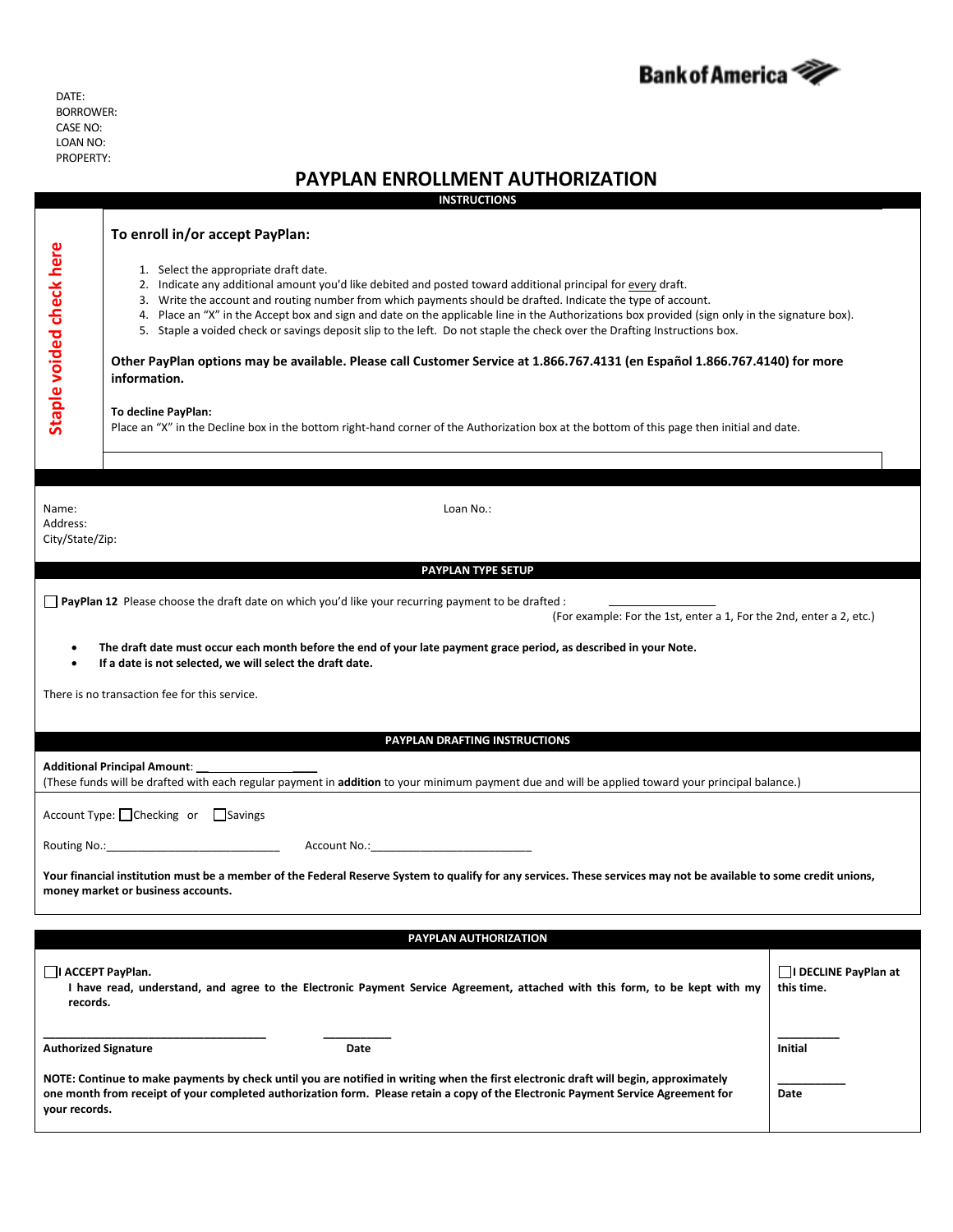

DATE: BORROWER: CASE NO: LOAN NO: PROPERTY:

## **PAYPLAN ENROLLMENT AUTHORIZATION**

**INSTRUCTIONS**

|                                                                                                                                                                                                         | <b>INSIRUCIIONS</b>                                                                                                                                                                                                                                                                                                                                                             |                             |  |
|---------------------------------------------------------------------------------------------------------------------------------------------------------------------------------------------------------|---------------------------------------------------------------------------------------------------------------------------------------------------------------------------------------------------------------------------------------------------------------------------------------------------------------------------------------------------------------------------------|-----------------------------|--|
|                                                                                                                                                                                                         | To enroll in/or accept PayPlan:                                                                                                                                                                                                                                                                                                                                                 |                             |  |
|                                                                                                                                                                                                         | 1. Select the appropriate draft date.                                                                                                                                                                                                                                                                                                                                           |                             |  |
|                                                                                                                                                                                                         | 2. Indicate any additional amount you'd like debited and posted toward additional principal for every draft.<br>3. Write the account and routing number from which payments should be drafted. Indicate the type of account.<br>4. Place an "X" in the Accept box and sign and date on the applicable line in the Authorizations box provided (sign only in the signature box). |                             |  |
|                                                                                                                                                                                                         |                                                                                                                                                                                                                                                                                                                                                                                 |                             |  |
|                                                                                                                                                                                                         | 5. Staple a voided check or savings deposit slip to the left. Do not staple the check over the Drafting Instructions box.                                                                                                                                                                                                                                                       |                             |  |
| Staple voided check here                                                                                                                                                                                | Other PayPlan options may be available. Please call Customer Service at 1.866.767.4131 (en Español 1.866.767.4140) for more<br>information.                                                                                                                                                                                                                                     |                             |  |
|                                                                                                                                                                                                         | To decline PayPlan:<br>Place an "X" in the Decline box in the bottom right-hand corner of the Authorization box at the bottom of this page then initial and date.                                                                                                                                                                                                               |                             |  |
|                                                                                                                                                                                                         |                                                                                                                                                                                                                                                                                                                                                                                 |                             |  |
| Name:                                                                                                                                                                                                   | Loan No.:                                                                                                                                                                                                                                                                                                                                                                       |                             |  |
| Address:<br>City/State/Zip:                                                                                                                                                                             |                                                                                                                                                                                                                                                                                                                                                                                 |                             |  |
|                                                                                                                                                                                                         |                                                                                                                                                                                                                                                                                                                                                                                 |                             |  |
| PAYPLAN TYPE SETUP                                                                                                                                                                                      |                                                                                                                                                                                                                                                                                                                                                                                 |                             |  |
| □ PayPlan 12 Please choose the draft date on which you'd like your recurring payment to be drafted :                                                                                                    |                                                                                                                                                                                                                                                                                                                                                                                 |                             |  |
| (For example: For the 1st, enter a 1, For the 2nd, enter a 2, etc.)                                                                                                                                     |                                                                                                                                                                                                                                                                                                                                                                                 |                             |  |
| The draft date must occur each month before the end of your late payment grace period, as described in your Note.<br>٠                                                                                  |                                                                                                                                                                                                                                                                                                                                                                                 |                             |  |
| If a date is not selected, we will select the draft date.<br>$\bullet$                                                                                                                                  |                                                                                                                                                                                                                                                                                                                                                                                 |                             |  |
| There is no transaction fee for this service.                                                                                                                                                           |                                                                                                                                                                                                                                                                                                                                                                                 |                             |  |
|                                                                                                                                                                                                         |                                                                                                                                                                                                                                                                                                                                                                                 |                             |  |
| PAYPLAN DRAFTING INSTRUCTIONS                                                                                                                                                                           |                                                                                                                                                                                                                                                                                                                                                                                 |                             |  |
|                                                                                                                                                                                                         |                                                                                                                                                                                                                                                                                                                                                                                 |                             |  |
| (These funds will be drafted with each regular payment in addition to your minimum payment due and will be applied toward your principal balance.)                                                      |                                                                                                                                                                                                                                                                                                                                                                                 |                             |  |
| Account Type: □ Checking or □ Savings                                                                                                                                                                   |                                                                                                                                                                                                                                                                                                                                                                                 |                             |  |
|                                                                                                                                                                                                         |                                                                                                                                                                                                                                                                                                                                                                                 |                             |  |
| Your financial institution must be a member of the Federal Reserve System to qualify for any services. These services may not be available to some credit unions,<br>money market or business accounts. |                                                                                                                                                                                                                                                                                                                                                                                 |                             |  |
|                                                                                                                                                                                                         |                                                                                                                                                                                                                                                                                                                                                                                 |                             |  |
| PAYPLAN AUTHORIZATION                                                                                                                                                                                   |                                                                                                                                                                                                                                                                                                                                                                                 |                             |  |
| I ACCEPT PayPlan.                                                                                                                                                                                       |                                                                                                                                                                                                                                                                                                                                                                                 | $\Box$ I DECLINE PayPlan at |  |
| records.                                                                                                                                                                                                | I have read, understand, and agree to the Electronic Payment Service Agreement, attached with this form, to be kept with my                                                                                                                                                                                                                                                     | this time.                  |  |
| <b>Authorized Signature</b>                                                                                                                                                                             | Date                                                                                                                                                                                                                                                                                                                                                                            | Initial                     |  |
|                                                                                                                                                                                                         | NOTE: Continue to make payments by check until you are notified in writing when the first electronic draft will begin, approximately                                                                                                                                                                                                                                            |                             |  |
|                                                                                                                                                                                                         | one month from receipt of your completed authorization form. Please retain a copy of the Electronic Payment Service Agreement for<br>Date                                                                                                                                                                                                                                       |                             |  |
| your records.                                                                                                                                                                                           |                                                                                                                                                                                                                                                                                                                                                                                 |                             |  |
|                                                                                                                                                                                                         |                                                                                                                                                                                                                                                                                                                                                                                 |                             |  |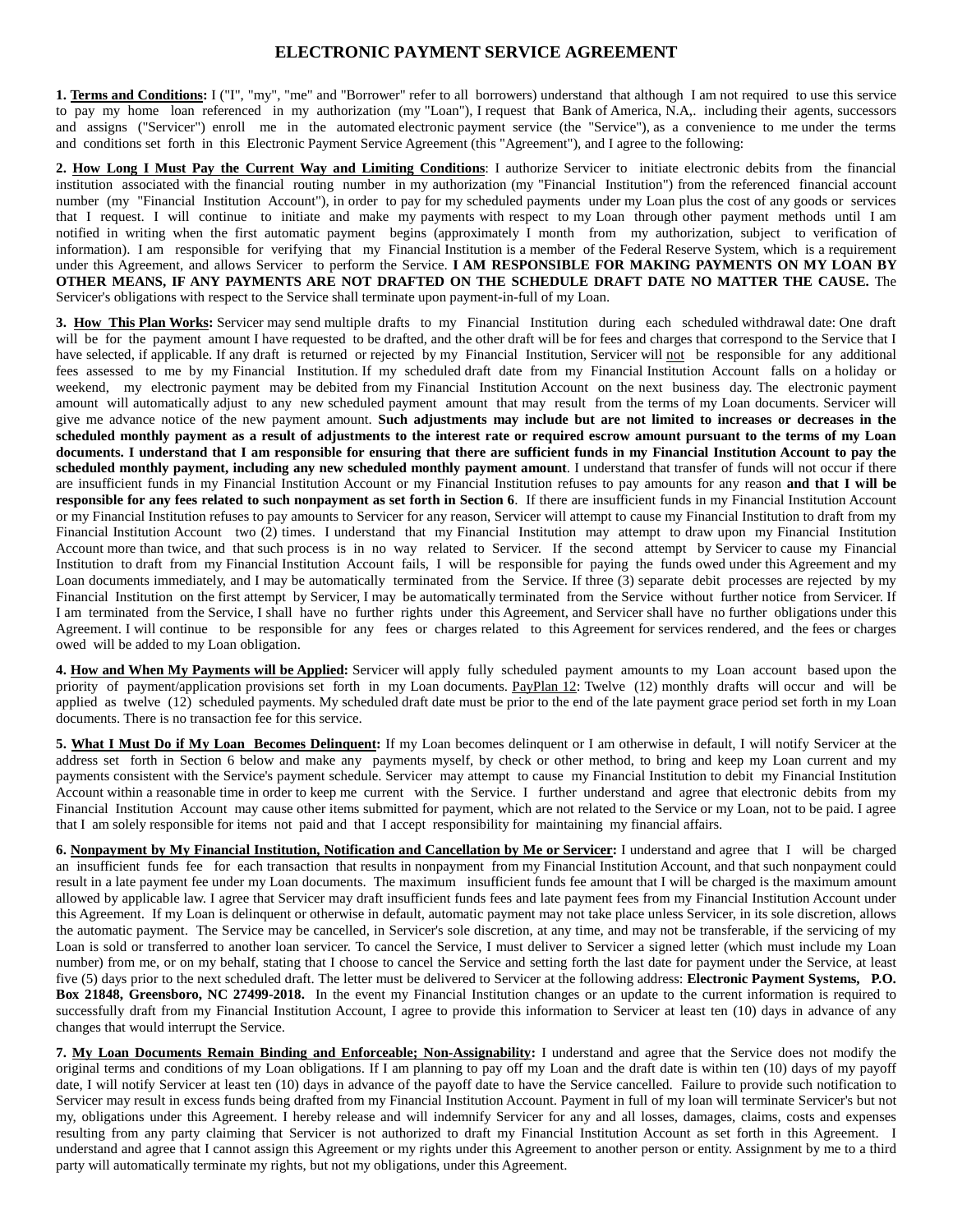## **ELECTRONIC PAYMENT SERVICE AGREEMENT**

**1. Terms and Conditions:** I ("I", "my", "me" and "Borrower" refer to all borrowers) understand that although I am not required to use this service to pay my home loan referenced in my authorization (my "Loan"), I request that Bank of America, N.A,. including their agents, successors and assigns ("Servicer") enroll me in the automated electronic payment service (the "Service"), as a convenience to me under the terms and conditions set forth in this Electronic Payment Service Agreement (this "Agreement"), and I agree to the following:

**2. How Long I Must Pay the Current Way and Limiting Conditions**: I authorize Servicer to initiate electronic debits from the financial institution associated with the financial routing number in my authorization (my "Financial Institution") from the referenced financial account number (my "Financial Institution Account"), in order to pay for my scheduled payments under my Loan plus the cost of any goods or services that I request. I will continue to initiate and make my payments with respect to my Loan through other payment methods until I am notified in writing when the first automatic payment begins (approximately I month from my authorization, subject to verification of information). I am responsible for verifying that my Financial Institution is a member of the Federal Reserve System, which is a requirement under this Agreement, and allows Servicer to perform the Service. **I AM RESPONSIBLE FOR MAKING PAYMENTS ON MY LOAN BY OTHER MEANS, IF ANY PAYMENTS ARE NOT DRAFTED ON THE SCHEDULE DRAFT DATE NO MATTER THE CAUSE.** The Servicer's obligations with respect to the Service shall terminate upon payment-in-full of my Loan.

**3. How This Plan Works:** Servicer may send multiple drafts to my Financial Institution during each scheduled withdrawal date: One draft will be for the payment amount I have requested to be drafted, and the other draft will be for fees and charges that correspond to the Service that I have selected, if applicable. If any draft is returned or rejected by my Financial Institution, Servicer will not be responsible for any additional fees assessed to me by my Financial Institution. If my scheduled draft date from my Financial Institution Account falls on a holiday or weekend, my electronic payment may be debited from my Financial Institution Account on the next business day. The electronic payment amount will automatically adjust to any new scheduled payment amount that may result from the terms of my Loan documents. Servicer will give me advance notice of the new payment amount. **Such adjustments may include but are not limited to increases or decreases in the scheduled monthly payment as a result of adjustments to the interest rate or required escrow amount pursuant to the terms of my Loan documents. I understand that I am responsible for ensuring that there are sufficient funds in my Financial Institution Account to pay the scheduled monthly payment, including any new scheduled monthly payment amount**. I understand that transfer of funds will not occur if there are insufficient funds in my Financial Institution Account or my Financial Institution refuses to pay amounts for any reason **and that I will be responsible for any fees related to such nonpayment as set forth in Section 6**. If there are insufficient funds in my Financial Institution Account or my Financial Institution refuses to pay amounts to Servicer for any reason, Servicer will attempt to cause my Financial Institution to draft from my Financial Institution Account two (2) times. I understand that my Financial Institution may attempt to draw upon my Financial Institution Account more than twice, and that such process is in no way related to Servicer. If the second attempt by Servicer to cause my Financial Institution to draft from my Financial Institution Account fails, I will be responsible for paying the funds owed under this Agreement and my Loan documents immediately, and I may be automatically terminated from the Service. If three (3) separate debit processes are rejected by my Financial Institution on the first attempt by Servicer, I may be automatically terminated from the Service without further notice from Servicer. If I am terminated from the Service, I shall have no further rights under this Agreement, and Servicer shall have no further obligations under this Agreement. I will continue to be responsible for any fees or charges related to this Agreement for services rendered, and the fees or charges owed will be added to my Loan obligation.

**4. How and When My Payments will be Applied:** Servicer will apply fully scheduled payment amounts to my Loan account based upon the priority of payment/application provisions set forth in my Loan documents. PayPlan 12: Twelve (12) monthly drafts will occur and will be applied as twelve (12) scheduled payments. My scheduled draft date must be prior to the end of the late payment grace period set forth in my Loan documents. There is no transaction fee for this service.

**5. What I Must Do if My Loan Becomes Delinquent:** If my Loan becomes delinquent or I am otherwise in default, I will notify Servicer at the address set forth in Section 6 below and make any payments myself, by check or other method, to bring and keep my Loan current and my payments consistent with the Service's payment schedule. Servicer may attempt to cause my Financial Institution to debit my Financial Institution Account within a reasonable time in order to keep me current with the Service. I further understand and agree that electronic debits from my Financial Institution Account may cause other items submitted for payment, which are not related to the Service or my Loan, not to be paid. I agree that I am solely responsible for items not paid and that I accept responsibility for maintaining my financial affairs.

**6. Nonpayment by My Financial Institution, Notification and Cancellation by Me or Servicer:** I understand and agree that I will be charged an insufficient funds fee for each transaction that results in nonpayment from my Financial Institution Account, and that such nonpayment could result in a late payment fee under my Loan documents. The maximum insufficient funds fee amount that I will be charged is the maximum amount allowed by applicable law. I agree that Servicer may draft insufficient funds fees and late payment fees from my Financial Institution Account under this Agreement. If my Loan is delinquent or otherwise in default, automatic payment may not take place unless Servicer, in its sole discretion, allows the automatic payment. The Service may be cancelled, in Servicer's sole discretion, at any time, and may not be transferable, if the servicing of my Loan is sold or transferred to another loan servicer. To cancel the Service, I must deliver to Servicer a signed letter (which must include my Loan number) from me, or on my behalf, stating that I choose to cancel the Service and setting forth the last date for payment under the Service, at least five (5) days prior to the next scheduled draft. The letter must be delivered to Servicer at the following address: **Electronic Payment Systems, P.O. Box 21848, Greensboro, NC 27499-2018.** In the event my Financial Institution changes or an update to the current information is required to successfully draft from my Financial Institution Account, I agree to provide this information to Servicer at least ten (10) days in advance of any changes that would interrupt the Service.

**7. My Loan Documents Remain Binding and Enforceable; Non-Assignability:** I understand and agree that the Service does not modify the original terms and conditions of my Loan obligations. If I am planning to pay off my Loan and the draft date is within ten (10) days of my payoff date, I will notify Servicer at least ten (10) days in advance of the payoff date to have the Service cancelled. Failure to provide such notification to Servicer may result in excess funds being drafted from my Financial Institution Account. Payment in full of my loan will terminate Servicer's but not my, obligations under this Agreement. I hereby release and will indemnify Servicer for any and all losses, damages, claims, costs and expenses resulting from any party claiming that Servicer is not authorized to draft my Financial Institution Account as set forth in this Agreement. I understand and agree that I cannot assign this Agreement or my rights under this Agreement to another person or entity. Assignment by me to a third party will automatically terminate my rights, but not my obligations, under this Agreement.